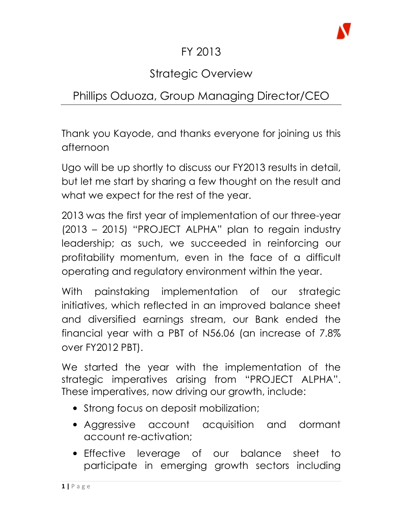

### FY 2013

# Strategic Overview

## Phillips Oduoza, Group Managing Director/CEO

Thank you Kayode, and thanks everyone for joining us this afternoon

Ugo will be up shortly to discuss our FY2013 results in detail, but let me start by sharing a few thought on the result and what we expect for the rest of the year.

2013 was the first year of implementation of our three-year (2013 – 2015) "PROJECT ALPHA" plan to regain industry leadership; as such, we succeeded in reinforcing our profitability momentum, even in the face of a difficult operating and regulatory environment within the year.

With painstaking implementation of our strategic initiatives, which reflected in an improved balance sheet and diversified earnings stream, our Bank ended the financial year with a PBT of N56.06 (an increase of 7.8% over FY2012 PBT).

We started the year with the implementation of the strategic imperatives arising from "PROJECT ALPHA". These imperatives, now driving our growth, include:

- Strong focus on deposit mobilization;
- Aggressive account acquisition and dormant account re-activation;
- Effective leverage of our balance sheet to participate in emerging growth sectors including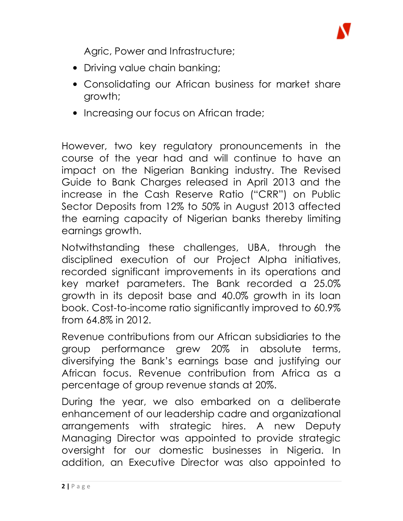

Agric, Power and Infrastructure;

- Driving value chain banking;
- Consolidating our African business for market share growth;
- Increasing our focus on African trade;

However, two key regulatory pronouncements in the course of the year had and will continue to have an impact on the Nigerian Banking industry. The Revised Guide to Bank Charges released in April 2013 and the increase in the Cash Reserve Ratio ("CRR") on Public Sector Deposits from 12% to 50% in August 2013 affected the earning capacity of Nigerian banks thereby limiting earnings growth.

Notwithstanding these challenges, UBA, through the disciplined execution of our Project Alpha initiatives, recorded significant improvements in its operations and key market parameters. The Bank recorded a 25.0% growth in its deposit base and 40.0% growth in its loan book. Cost-to-income ratio significantly improved to 60.9% from 64.8% in 2012.

Revenue contributions from our African subsidiaries to the group performance grew 20% in absolute terms, diversifying the Bank's earnings base and justifying our African focus. Revenue contribution from Africa as a percentage of group revenue stands at 20%.

During the year, we also embarked on a deliberate enhancement of our leadership cadre and organizational arrangements with strategic hires. A new Deputy Managing Director was appointed to provide strategic oversight for our domestic businesses in Nigeria. In addition, an Executive Director was also appointed to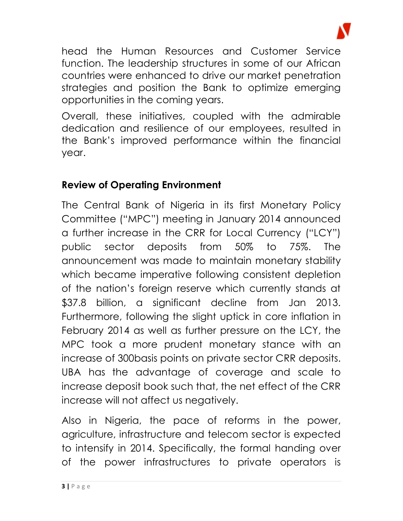

head the Human Resources and Customer Service function. The leadership structures in some of our African countries were enhanced to drive our market penetration strategies and position the Bank to optimize emerging opportunities in the coming years.

Overall, these initiatives, coupled with the admirable dedication and resilience of our employees, resulted in the Bank's improved performance within the financial year.

#### Review of Operating Environment

The Central Bank of Nigeria in its first Monetary Policy Committee ("MPC") meeting in January 2014 announced a further increase in the CRR for Local Currency ("LCY") public sector deposits from 50% to 75%. The announcement was made to maintain monetary stability which became imperative following consistent depletion of the nation's foreign reserve which currently stands at \$37.8 billion, a significant decline from Jan 2013. Furthermore, following the slight uptick in core inflation in February 2014 as well as further pressure on the LCY, the MPC took a more prudent monetary stance with an increase of 300basis points on private sector CRR deposits. UBA has the advantage of coverage and scale to increase deposit book such that, the net effect of the CRR increase will not affect us negatively.

Also in Nigeria, the pace of reforms in the power, agriculture, infrastructure and telecom sector is expected to intensify in 2014. Specifically, the formal handing over of the power infrastructures to private operators is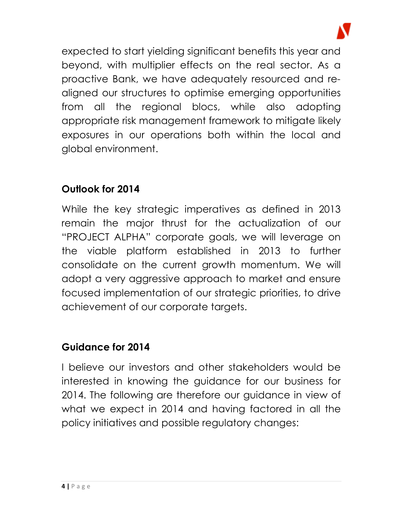

expected to start yielding significant benefits this year and beyond, with multiplier effects on the real sector. As a proactive Bank, we have adequately resourced and realigned our structures to optimise emerging opportunities from all the regional blocs, while also adopting appropriate risk management framework to mitigate likely exposures in our operations both within the local and global environment.

#### Outlook for 2014

While the key strategic imperatives as defined in 2013 remain the major thrust for the actualization of our "PROJECT ALPHA" corporate goals, we will leverage on the viable platform established in 2013 to further consolidate on the current growth momentum. We will adopt a very aggressive approach to market and ensure focused implementation of our strategic priorities, to drive achievement of our corporate targets.

#### Guidance for 2014

I believe our investors and other stakeholders would be interested in knowing the guidance for our business for 2014. The following are therefore our guidance in view of what we expect in 2014 and having factored in all the policy initiatives and possible regulatory changes: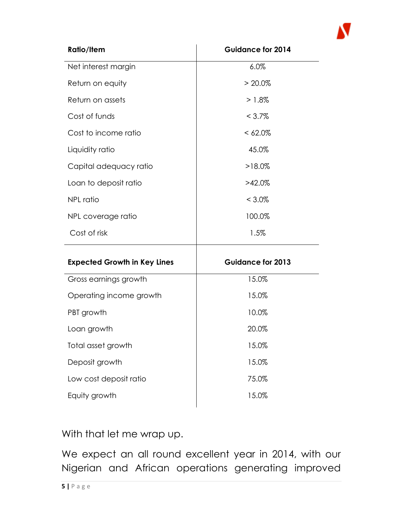

| <b>Ratio/Item</b>                   | <b>Guidance for 2014</b> |
|-------------------------------------|--------------------------|
| Net interest margin                 | 6.0%                     |
| Return on equity                    | $> 20.0\%$               |
| Return on assets                    | $>1.8\%$                 |
| Cost of funds                       | $< 3.7\%$                |
| Cost to income ratio                | $<62.0\%$                |
| Liquidity ratio                     | 45.0%                    |
| Capital adequacy ratio              | $>18.0\%$                |
| Loan to deposit ratio               | $>42.0\%$                |
| <b>NPL ratio</b>                    | $< 3.0\%$                |
| NPL coverage ratio                  | 100.0%                   |
| Cost of risk                        | 1.5%                     |
| <b>Expected Growth in Key Lines</b> | <b>Guidance for 2013</b> |
| Gross earnings growth               | 15.0%                    |
| Operating income growth             | 15.0%                    |
| PBT growth                          | 10.0%                    |
| Loan growth                         | 20.0%                    |
| Total asset growth                  | 15.0%                    |
| Deposit growth                      | 15.0%                    |
| Low cost deposit ratio              | 75.0%                    |
| Equity growth                       | 15.0%                    |

With that let me wrap up.

We expect an all round excellent year in 2014, with our Nigerian and African operations generating improved